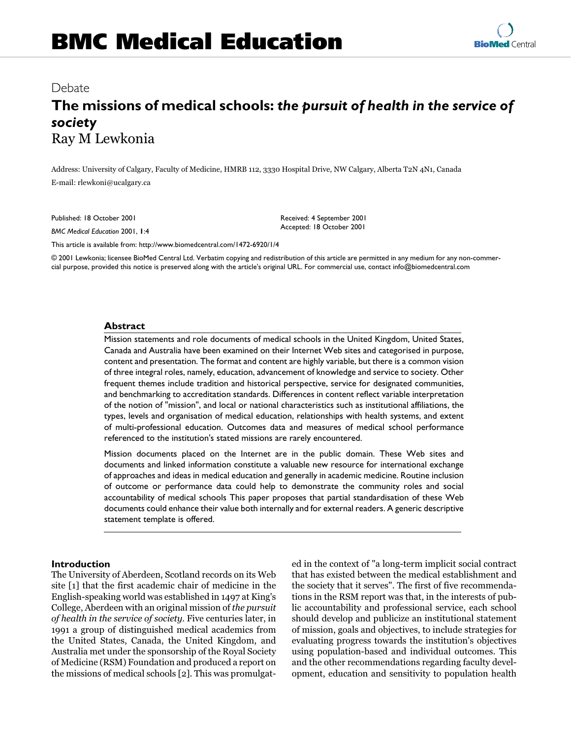# Bedate Education 2001, 1 :4 Debate

## **The missions of medical schools:** *the pursuit of health in the service of society* Ray M Lewkonia

Address: University of Calgary, Faculty of Medicine, HMRB 112, 3330 Hospital Drive, NW Calgary, Alberta T2N 4N1, Canada E-mail: rlewkoni@ucalgary.ca

Published: 18 October 2001

*BMC Medical Education* 2001, **1**:4

[This article is available from: http://www.biomedcentral.com/1472-6920/1/4](http://www.biomedcentral.com/1472-6920/1/4)

© 2001 Lewkonia; licensee BioMed Central Ltd. Verbatim copying and redistribution of this article are permitted in any medium for any non-commercial purpose, provided this notice is preserved along with the article's original URL. For commercial use, contact info@biomedcentral.com

Received: 4 September 2001 Accepted: 18 October 2001

## **Abstract**

Mission statements and role documents of medical schools in the United Kingdom, United States, Canada and Australia have been examined on their Internet Web sites and categorised in purpose, content and presentation. The format and content are highly variable, but there is a common vision of three integral roles, namely, education, advancement of knowledge and service to society. Other frequent themes include tradition and historical perspective, service for designated communities, and benchmarking to accreditation standards. Differences in content reflect variable interpretation of the notion of "mission", and local or national characteristics such as institutional affiliations, the types, levels and organisation of medical education, relationships with health systems, and extent of multi-professional education. Outcomes data and measures of medical school performance referenced to the institution's stated missions are rarely encountered.

Mission documents placed on the Internet are in the public domain. These Web sites and documents and linked information constitute a valuable new resource for international exchange of approaches and ideas in medical education and generally in academic medicine. Routine inclusion of outcome or performance data could help to demonstrate the community roles and social accountability of medical schools This paper proposes that partial standardisation of these Web documents could enhance their value both internally and for external readers. A generic descriptive statement template is offered.

## **Introduction**

The University of Aberdeen, Scotland records on its Web site [\[1](#page-5-0)] that the first academic chair of medicine in the English-speaking world was established in 1497 at King's College, Aberdeen with an original mission of the pursuit of health in the service of society. Five centuries later, in 1991 a group of distinguished medical academics from the United States, Canada, the United Kingdom, and Australia met under the sponsorship of the Royal Society of Medicine (RSM) Foundation and produced a report on the missions of medical schools [[2](#page-5-1)]. This was promulgated in the context of "a long-term implicit social contract that has existed between the medical establishment and the society that it serves". The first of five recommendations in the RSM report was that, in the interests of public accountability and professional service, each school should develop and publicize an institutional statement of mission, goals and objectives, to include strategies for evaluating progress towards the institution's objectives using population-based and individual outcomes. This and the other recommendations regarding faculty development, education and sensitivity to population health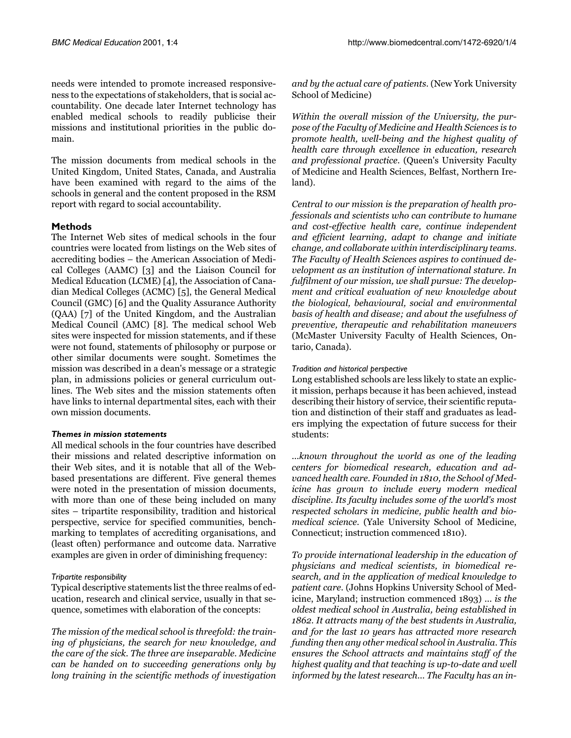needs were intended to promote increased responsiveness to the expectations of stakeholders, that is social accountability. One decade later Internet technology has enabled medical schools to readily publicise their missions and institutional priorities in the public domain.

The mission documents from medical schools in the United Kingdom, United States, Canada, and Australia have been examined with regard to the aims of the schools in general and the content proposed in the RSM report with regard to social accountability.

## **Methods**

The Internet Web sites of medical schools in the four countries were located from listings on the Web sites of accrediting bodies – the American Association of Medical Colleges (AAMC) [\[3\]](#page-5-2) and the Liaison Council for Medical Education (LCME) [\[4\]](#page-5-3), the Association of Canadian Medical Colleges (ACMC) [\[5](#page-5-4)], the General Medical Council (GMC) [[6](#page-5-5)] and the Quality Assurance Authority (QAA) [\[7](#page-5-6)] of the United Kingdom, and the Australian Medical Council (AMC) [[8](#page-5-7)]. The medical school Web sites were inspected for mission statements, and if these were not found, statements of philosophy or purpose or other similar documents were sought. Sometimes the mission was described in a dean's message or a strategic plan, in admissions policies or general curriculum outlines. The Web sites and the mission statements often have links to internal departmental sites, each with their own mission documents.

## *Themes in mission statements*

All medical schools in the four countries have described their missions and related descriptive information on their Web sites, and it is notable that all of the Webbased presentations are different. Five general themes were noted in the presentation of mission documents, with more than one of these being included on many sites – tripartite responsibility, tradition and historical perspective, service for specified communities, benchmarking to templates of accrediting organisations, and (least often) performance and outcome data. Narrative examples are given in order of diminishing frequency:

## *Tripartite responsibility*

Typical descriptive statements list the three realms of education, research and clinical service, usually in that sequence, sometimes with elaboration of the concepts:

The mission of the medical school is threefold: the training of physicians, the search for new knowledge, and the care of the sick. The three are inseparable. Medicine can be handed on to succeeding generations only by long training in the scientific methods of investigation and by the actual care of patients. (New York University School of Medicine)

Within the overall mission of the University, the purpose of the Faculty of Medicine and Health Sciences is to promote health, well-being and the highest quality of health care through excellence in education, research and professional practice. (Queen's University Faculty of Medicine and Health Sciences, Belfast, Northern Ireland).

Central to our mission is the preparation of health professionals and scientists who can contribute to humane and cost-effective health care, continue independent and efficient learning, adapt to change and initiate change, and collaborate within interdisciplinary teams. The Faculty of Health Sciences aspires to continued development as an institution of international stature. In fulfilment of our mission, we shall pursue: The development and critical evaluation of new knowledge about the biological, behavioural, social and environmental basis of health and disease; and about the usefulness of preventive, therapeutic and rehabilitation maneuvers (McMaster University Faculty of Health Sciences, Ontario, Canada).

## *Tradition and historical perspective*

Long established schools are less likely to state an explicit mission, perhaps because it has been achieved, instead describing their history of service, their scientific reputation and distinction of their staff and graduates as leaders implying the expectation of future success for their students:

...known throughout the world as one of the leading centers for biomedical research, education and advanced health care. Founded in 1810, the School of Medicine has grown to include every modern medical discipline. Its faculty includes some of the world's most respected scholars in medicine, public health and biomedical science. (Yale University School of Medicine, Connecticut; instruction commenced 1810).

To provide international leadership in the education of physicians and medical scientists, in biomedical research, and in the application of medical knowledge to patient care. (Johns Hopkins University School of Medicine, Maryland; instruction commenced 1893) ... is the oldest medical school in Australia, being established in 1862. It attracts many of the best students in Australia, and for the last 10 years has attracted more research funding then any other medical school in Australia. This ensures the School attracts and maintains staff of the highest quality and that teaching is up-to-date and well informed by the latest research... The Faculty has an in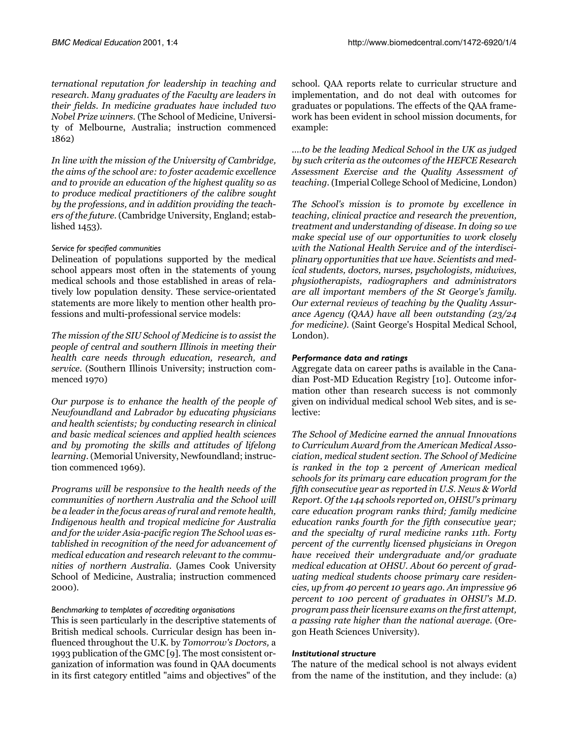ternational reputation for leadership in teaching and research. Many graduates of the Faculty are leaders in their fields. In medicine graduates have included two Nobel Prize winners. (The School of Medicine, University of Melbourne, Australia; instruction commenced 1862)

In line with the mission of the University of Cambridge, the aims of the school are: to foster academic excellence and to provide an education of the highest quality so as to produce medical practitioners of the calibre sought by the professions, and in addition providing the teachers of the future. (Cambridge University, England; established 1453).

## *Service for specified communities*

Delineation of populations supported by the medical school appears most often in the statements of young medical schools and those established in areas of relatively low population density. These service-orientated statements are more likely to mention other health professions and multi-professional service models:

The mission of the SIU School of Medicine is to assist the people of central and southern Illinois in meeting their health care needs through education, research, and service. (Southern Illinois University; instruction commenced 1970)

Our purpose is to enhance the health of the people of Newfoundland and Labrador by educating physicians and health scientists; by conducting research in clinical and basic medical sciences and applied health sciences and by promoting the skills and attitudes of lifelong learning. (Memorial University, Newfoundland; instruction commenced 1969).

Programs will be responsive to the health needs of the communities of northern Australia and the School will be a leader in the focus areas of rural and remote health, Indigenous health and tropical medicine for Australia and for the wider Asia-pacific region The School was established in recognition of the need for advancement of medical education and research relevant to the communities of northern Australia. (James Cook University School of Medicine, Australia; instruction commenced 2000).

## *Benchmarking to templates of accrediting organisations*

This is seen particularly in the descriptive statements of British medical schools. Curricular design has been influenced throughout the U.K. by Tomorrow's Doctors, a 1993 publication of the GMC [\[9\]](#page-5-8). The most consistent organization of information was found in QAA documents in its first category entitled "aims and objectives" of the school. QAA reports relate to curricular structure and implementation, and do not deal with outcomes for graduates or populations. The effects of the QAA framework has been evident in school mission documents, for example:

....to be the leading Medical School in the UK as judged by such criteria as the outcomes of the HEFCE Research Assessment Exercise and the Quality Assessment of teaching. (Imperial College School of Medicine, London)

The School's mission is to promote by excellence in teaching, clinical practice and research the prevention, treatment and understanding of disease. In doing so we make special use of our opportunities to work closely with the National Health Service and of the interdisciplinary opportunities that we have. Scientists and medical students, doctors, nurses, psychologists, midwives, physiotherapists, radiographers and administrators are all important members of the St George's family. Our external reviews of teaching by the Quality Assurance Agency (QAA) have all been outstanding (23/24 for medicine). (Saint George's Hospital Medical School, London).

## *Performance data and ratings*

Aggregate data on career paths is available in the Canadian Post-MD Education Registry [\[10\]](#page-5-9). Outcome information other than research success is not commonly given on individual medical school Web sites, and is selective:

The School of Medicine earned the annual Innovations to Curriculum Award from the American Medical Association, medical student section. The School of Medicine is ranked in the top 2 percent of American medical schools for its primary care education program for the fifth consecutive year as reported in U.S. News & World Report. Of the 144 schools reported on, OHSU's primary care education program ranks third; family medicine education ranks fourth for the fifth consecutive year; and the specialty of rural medicine ranks 11th. Forty percent of the currently licensed physicians in Oregon have received their undergraduate and/or graduate medical education at OHSU. About 60 percent of graduating medical students choose primary care residencies, up from 40 percent 10 years ago. An impressive 96 percent to 100 percent of graduates in OHSU's M.D. program pass their licensure exams on the first attempt, a passing rate higher than the national average. (Oregon Heath Sciences University).

## *Institutional structure*

The nature of the medical school is not always evident from the name of the institution, and they include: (a)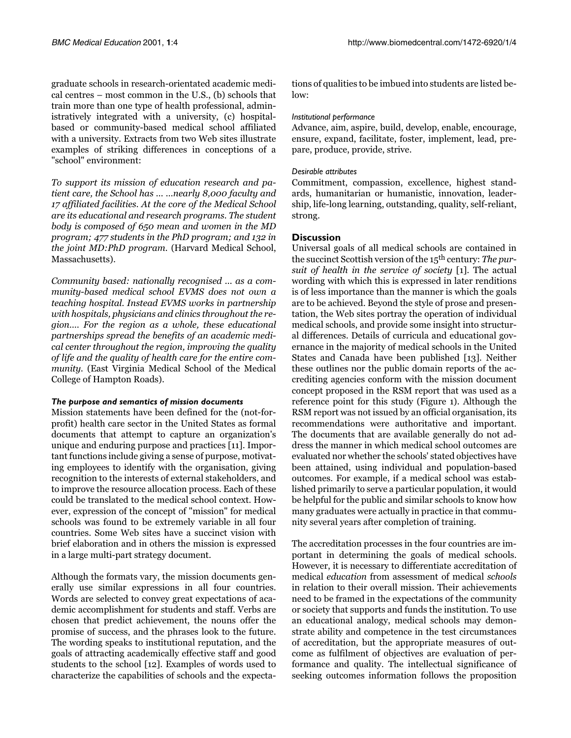graduate schools in research-orientated academic medical centres – most common in the U.S., (b) schools that train more than one type of health professional, administratively integrated with a university, (c) hospitalbased or community-based medical school affiliated with a university. Extracts from two Web sites illustrate examples of striking differences in conceptions of a "school" environment:

To support its mission of education research and patient care, the School has ... ...nearly 8,000 faculty and 17 affiliated facilities. At the core of the Medical School are its educational and research programs. The student body is composed of 650 mean and women in the MD program; 477 students in the PhD program; and 132 in the joint MD:PhD program. (Harvard Medical School, Massachusetts).

Community based: nationally recognised ... as a community-based medical school EVMS does not own a teaching hospital. Instead EVMS works in partnership with hospitals, physicians and clinics throughout the region.... For the region as a whole, these educational partnerships spread the benefits of an academic medical center throughout the region, improving the quality of life and the quality of health care for the entire community. (East Virginia Medical School of the Medical College of Hampton Roads).

## *The purpose and semantics of mission documents*

Mission statements have been defined for the (not-forprofit) health care sector in the United States as formal documents that attempt to capture an organization's unique and enduring purpose and practices [\[11\]](#page-5-10). Important functions include giving a sense of purpose, motivating employees to identify with the organisation, giving recognition to the interests of external stakeholders, and to improve the resource allocation process. Each of these could be translated to the medical school context. However, expression of the concept of "mission" for medical schools was found to be extremely variable in all four countries. Some Web sites have a succinct vision with brief elaboration and in others the mission is expressed in a large multi-part strategy document.

Although the formats vary, the mission documents generally use similar expressions in all four countries. Words are selected to convey great expectations of academic accomplishment for students and staff. Verbs are chosen that predict achievement, the nouns offer the promise of success, and the phrases look to the future. The wording speaks to institutional reputation, and the goals of attracting academically effective staff and good students to the school [\[12](#page-5-11)]. Examples of words used to characterize the capabilities of schools and the expecta-

tions of qualities to be imbued into students are listed below:

### *Institutional performance*

Advance, aim, aspire, build, develop, enable, encourage, ensure, expand, facilitate, foster, implement, lead, prepare, produce, provide, strive.

## *Desirable attributes*

Commitment, compassion, excellence, highest standards, humanitarian or humanistic, innovation, leadership, life-long learning, outstanding, quality, self-reliant, strong.

## **Discussion**

Universal goals of all medical schools are contained in the succinct Scottish version of the 15<sup>th</sup> century: The pursuit of health in the service of society [[1](#page-5-0)]. The actual wording with which this is expressed in later renditions is of less importance than the manner is which the goals are to be achieved. Beyond the style of prose and presentation, the Web sites portray the operation of individual medical schools, and provide some insight into structural differences. Details of curricula and educational governance in the majority of medical schools in the United States and Canada have been published [\[13\]](#page-5-12). Neither these outlines nor the public domain reports of the accrediting agencies conform with the mission document concept proposed in the RSM report that was used as a reference point for this study (Figure [1\)](#page-4-0). Although the RSM report was not issued by an official organisation, its recommendations were authoritative and important. The documents that are available generally do not address the manner in which medical school outcomes are evaluated nor whether the schools' stated objectives have been attained, using individual and population-based outcomes. For example, if a medical school was established primarily to serve a particular population, it would be helpful for the public and similar schools to know how many graduates were actually in practice in that community several years after completion of training.

The accreditation processes in the four countries are important in determining the goals of medical schools. However, it is necessary to differentiate accreditation of medical education from assessment of medical schools in relation to their overall mission. Their achievements need to be framed in the expectations of the community or society that supports and funds the institution. To use an educational analogy, medical schools may demonstrate ability and competence in the test circumstances of accreditation, but the appropriate measures of outcome as fulfilment of objectives are evaluation of performance and quality. The intellectual significance of seeking outcomes information follows the proposition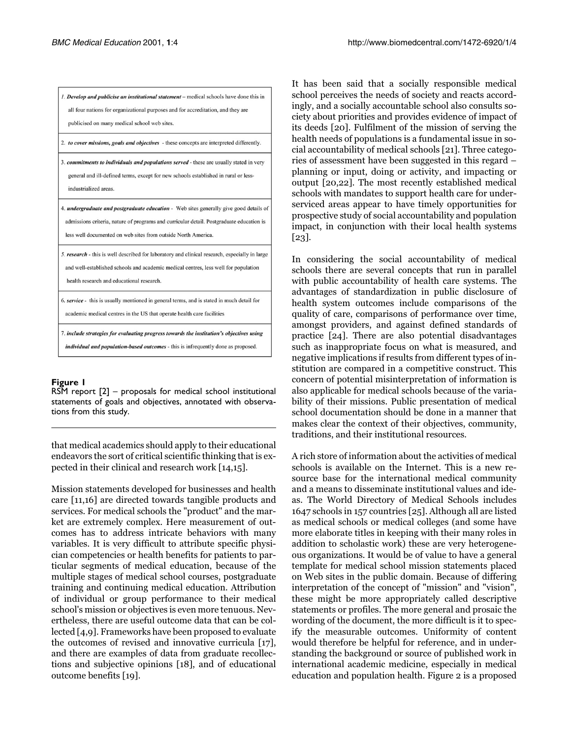| 1. Develop and publicise an institutional statement – medical schools have done this in<br>all four nations for organizational purposes and for accreditation, and they are<br>publicised on many medical school web sites.                                |
|------------------------------------------------------------------------------------------------------------------------------------------------------------------------------------------------------------------------------------------------------------|
| 2. to cover missions, goals and objectives - these concepts are interpreted differently.                                                                                                                                                                   |
| 3. commitments to individuals and populations served - these are usually stated in very<br>general and ill-defined terms, except for new schools established in rural or less-<br>industrialized areas.                                                    |
| 4. <i>undergraduate and postgraduate education</i> - Web sites generally give good details of<br>admissions criteria, nature of programs and curricular detail. Postgraduate education is<br>less well documented on web sites from outside North America. |
| 5. research - this is well described for laboratory and clinical research, especially in large<br>and well-established schools and academic medical centres, less well for population<br>health research and educational research.                         |
| 6. service - this is usually mentioned in general terms, and is stated in much detail for<br>academic medical centres in the US that operate health care facilities                                                                                        |
| 7. include strategies for evaluating progress towards the institution's objectives using<br><i>individual and population-based outcomes</i> - this is infrequently done as proposed.                                                                       |

## <span id="page-4-0"></span>**Figure 1**

RSM report [\[2](#page-5-1)] – proposals for medical school institutional statements of goals and objectives, annotated with observations from this study.

that medical academics should apply to their educational endeavors the sort of critical scientific thinking that is expected in their clinical and research work [[14,](#page-5-13)[15\]](#page-5-14).

Mission statements developed for businesses and health care [[11](#page-5-10),[16\]](#page-5-15) are directed towards tangible products and services. For medical schools the "product" and the market are extremely complex. Here measurement of outcomes has to address intricate behaviors with many variables. It is very difficult to attribute specific physician competencies or health benefits for patients to particular segments of medical education, because of the multiple stages of medical school courses, postgraduate training and continuing medical education. Attribution of individual or group performance to their medical school's mission or objectives is even more tenuous. Nevertheless, there are useful outcome data that can be collected [\[4,](#page-5-3)[9\]](#page-5-8). Frameworks have been proposed to evaluate the outcomes of revised and innovative curricula [[17\]](#page-5-16), and there are examples of data from graduate recollections and subjective opinions [[18\]](#page-6-0), and of educational outcome benefits [[19](#page-6-1)].

It has been said that a socially responsible medical school perceives the needs of society and reacts accordingly, and a socially accountable school also consults society about priorities and provides evidence of impact of its deeds [[20\]](#page-6-2). Fulfilment of the mission of serving the health needs of populations is a fundamental issue in social accountability of medical schools [\[21](#page-6-3)]. Three categories of assessment have been suggested in this regard – planning or input, doing or activity, and impacting or output [\[20](#page-6-2)[,22](#page-6-4)]. The most recently established medical schools with mandates to support health care for underserviced areas appear to have timely opportunities for prospective study of social accountability and population impact, in conjunction with their local health systems [[23\]](#page-6-5).

In considering the social accountability of medical schools there are several concepts that run in parallel with public accountability of health care systems. The advantages of standardization in public disclosure of health system outcomes include comparisons of the quality of care, comparisons of performance over time, amongst providers, and against defined standards of practice [\[24](#page-6-6)]. There are also potential disadvantages such as inappropriate focus on what is measured, and negative implications if results from different types of institution are compared in a competitive construct. This concern of potential misinterpretation of information is also applicable for medical schools because of the variability of their missions. Public presentation of medical school documentation should be done in a manner that makes clear the context of their objectives, community, traditions, and their institutional resources.

A rich store of information about the activities of medical schools is available on the Internet. This is a new resource base for the international medical community and a means to disseminate institutional values and ideas. The World Directory of Medical Schools includes 1647 schools in 157 countries [[25](#page-6-7)]. Although all are listed as medical schools or medical colleges (and some have more elaborate titles in keeping with their many roles in addition to scholastic work) these are very heterogeneous organizations. It would be of value to have a general template for medical school mission statements placed on Web sites in the public domain. Because of differing interpretation of the concept of "mission" and "vision", these might be more appropriately called descriptive statements or profiles. The more general and prosaic the wording of the document, the more difficult is it to specify the measurable outcomes. Uniformity of content would therefore be helpful for reference, and in understanding the background or source of published work in international academic medicine, especially in medical education and population health. Figure [2](#page-5-17) is a proposed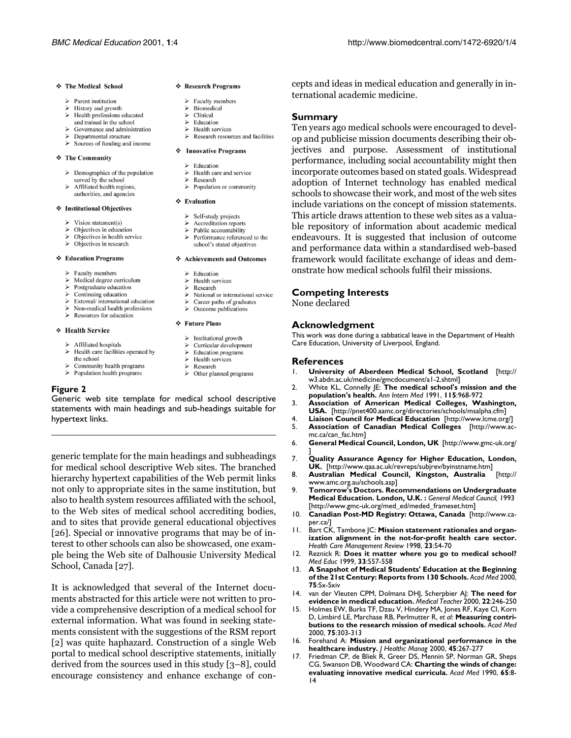#### ❖ The Medical School

- $\triangleright$  Parent institution
- History and growth
- $\prec$ Health professions educated and trained in the school
- $\overline{\mathcal{L}}$ Governance and administration
- Departmental structure
- Sources of funding and income

#### **❖** The Community

- $\triangleright$  Demographics of the population served by the school
- $\checkmark$ Affiliated health regions, authorities, and agencies

#### ❖ Institutional Objectives

- $\triangleright$  Vision statement(s)
- Objectives in education Objectives in health service
- Objectives in research

#### ❖ Education Programs

- $\triangleright$  Faculty members
- Medical degree curriculum
- Postgraduate education
- Continuing education
- External/international education
- Non-medical health professions Resources for education

#### **↑** Health Service

- > Affiliated hospitals
- > Health care facilities operated by the school
- Community health programs
- $\triangleright$  Population health programs

## ❖ Research Programs

- $\triangleright$  Faculty members Biomedical
- Clinical
- $\overline{d}$ Education
- Health services  $\triangleright$  Research resources and facilities
- 
- **\*** Innovative Programs
	- $\blacktriangleright$  Education Health care and service
	- Research
	- $\blacktriangleright$ Population or community

#### ❖ Evaluation

- 
- $\triangleright$  Self-study projects Accreditation reports
- $\triangleright$  Public accountability
- Performance referenced to the school's stated objectives

#### ❖ Achievements and Outcomes

- $\blacktriangleright$  Education
- Health services
- Research
- National or international service Career paths of graduates
- $\triangleright$  Outcome publications

#### ❖ Future Plans

- $\triangleright$  Institutional growth
- ⋗ Curricular development
- **Education** programs Health services
- Research
- $\checkmark$ Other planned programs

## <span id="page-5-17"></span>**Figure 2**

Generic web site template for medical school descriptive statements with main headings and sub-headings suitable for hypertext links.

generic template for the main headings and subheadings for medical school descriptive Web sites. The branched hierarchy hypertext capabilities of the Web permit links not only to appropriate sites in the same institution, but also to health system resources affiliated with the school, to the Web sites of medical school accrediting bodies, and to sites that provide general educational objectives [[26\]](#page-6-8). Special or innovative programs that may be of interest to other schools can also be showcased, one example being the Web site of Dalhousie University Medical School, Canada [\[27\]](#page-6-9).

It is acknowledged that several of the Internet documents abstracted for this article were not written to provide a comprehensive description of a medical school for external information. What was found in seeking statements consistent with the suggestions of the RSM report [[2](#page-5-1)] was quite haphazard. Construction of a single Web portal to medical school descriptive statements, initially derived from the sources used in this study [\[3–](#page-5-2)[8\]](#page-5-7), could encourage consistency and enhance exchange of concepts and ideas in medical education and generally in international academic medicine.

## **Summary**

Ten years ago medical schools were encouraged to develop and publicise mission documents describing their objectives and purpose. Assessment of institutional performance, including social accountability might then incorporate outcomes based on stated goals. Widespread adoption of Internet technology has enabled medical schools to showcase their work, and most of the web sites include variations on the concept of mission statements. This article draws attention to these web sites as a valuable repository of information about academic medical endeavours. It is suggested that inclusion of outcome and performance data within a standardised web-based framework would facilitate exchange of ideas and demonstrate how medical schools fulfil their missions.

## **Competing Interests**

None declared

## **Acknowledgment**

This work was done during a sabbatical leave in the Department of Health Care Education, University of Liverpool, England.

### **References**

- <span id="page-5-0"></span>1. **University of Aberdeen Medical School, Scotland** [\[http://](http://w3.abdn.ac.uk/medicine/gmcdocument/a1-2.shtml) [w3.abdn.ac.uk/medicine/gmcdocument/a1-2.shtml\]](http://w3.abdn.ac.uk/medicine/gmcdocument/a1-2.shtml)
- <span id="page-5-1"></span>2. [White KL, Connelly JE:](http://www.ncbi.nlm.nih.gov/entrez/query.fcgi?cmd=Retrieve&db=PubMed&dopt=Abstract&list_uids=1683197) **The medical school's mission and the population's health.** *Ann Intern Med* 1991, **115**:968-972
- <span id="page-5-2"></span>3. **Association of American Medical Colleges, Washington, USA.** [\[http://pnet400.aamc.org/directories/schools/msalpha.cfm\]](http://pnet400.aamc.org/directories/schools/msalpha.cfm)
- <span id="page-5-3"></span>4. **Liaison Council for Medical Education** [\[http://www.lcme.org/\]](http://www.lcme.org/)
- <span id="page-5-4"></span>5. **Association of Canadian Medical Colleges** [\[http://www.ac](http://www.acmc.ca/can_fac.htm)[mc.ca/can\\_fac.htm\]](http://www.acmc.ca/can_fac.htm)
- <span id="page-5-5"></span>6. **General Medical Council, London, UK** [\[http://www.gmc-uk.org/](http://www.gmc-uk.org/) [\]](http://www.gmc-uk.org/)
- <span id="page-5-6"></span>7. **Quality Assurance Agency for Higher Education, London, UK.** [\[http://www.qaa.ac.uk/revreps/subjrev/byinstname.htm\]](http://www.qaa.ac.uk/revreps/subjrev/byinstname.htm)
- <span id="page-5-7"></span>8. Australian Medical Council, Kingston, Australia [www.amc.org.au/schools.asp\]](http://www.amc.org.au/schools.asp)
- <span id="page-5-8"></span>9. **Tomorrow's Doctors. Recommendations on Undergraduate Medical Education. London, U.K. :** *General Medical Council,* [1993](http://www.gmc-uk.org/med_ed/meded_frameset.htm)  [\[http://www.gmc-uk.org/med\\_ed/meded\\_frameset.htm\]](http://www.gmc-uk.org/med_ed/meded_frameset.htm)
- <span id="page-5-9"></span>10. **Canadian Post-MD Registry: Ottawa, Canada** [\[http://www.ca](http://www.caper.ca/)[per.ca/\]](http://www.caper.ca/)
- <span id="page-5-10"></span>11. [Bart CK, Tambone JC:](http://www.ncbi.nlm.nih.gov/entrez/query.fcgi?cmd=Retrieve&db=PubMed&dopt=Abstract&list_uids=9803319) **Mission statement rationales and organization alignment in the not-for-profit health care sector.** *Health Care Management Review* 1998, **23**:54-70
- <span id="page-5-11"></span>12. [Reznick R:](http://www.ncbi.nlm.nih.gov/entrez/query.fcgi?cmd=Retrieve&db=PubMed&dopt=Abstract&list_uids=10447839) **Does it matter where you go to medical school?** *Med Educ* 1999, **33**:557-558
- <span id="page-5-12"></span>13. **A Snapshot of Medical Students' Education at the Beginning of the 21st Century: Reports from 130 Schools.** *Acad Med* 2000, **75**:Sx-Sxiv
- <span id="page-5-13"></span>14. van der Vleuten CPM, Dolmans DHJ, Scherpbier AJ: **The need for evidence in medical education.** *Medical Teacher* 2000, **22**:246-250
- <span id="page-5-14"></span>15. [Holmes EW, Burks TF, Dzau V, Hindery MA, Jones RF, Kaye CI, Korn](http://www.ncbi.nlm.nih.gov/entrez/query.fcgi?cmd=Retrieve&db=PubMed&dopt=Abstract&list_uids=10724325) [D, Limbird LE, Marchase RB, Perlmutter R,](http://www.ncbi.nlm.nih.gov/entrez/query.fcgi?cmd=Retrieve&db=PubMed&dopt=Abstract&list_uids=10724325) *et al*: **Measuring contributions to the research mission of medical schools.** *Acad Med* 2000, **75**:303-313
- <span id="page-5-15"></span>16. [Forehand A:](http://www.ncbi.nlm.nih.gov/entrez/query.fcgi?cmd=Retrieve&db=PubMed&dopt=Abstract&list_uids=11067418) **Mission and organizational performance in the healthcare industry.** *J Healthc Manag* 2000, **45**:267-277
- <span id="page-5-16"></span>Friedman CP, de Bliek R, Greer DS, Mennin SP, Norman GR, Sheps [CG, Swanson DB, Woodward CA:](http://www.ncbi.nlm.nih.gov/entrez/query.fcgi?cmd=Retrieve&db=PubMed&dopt=Abstract&list_uids=2294927) **Charting the winds of change: evaluating innovative medical curricula.** *Acad Med* 1990, **65**:8- 14